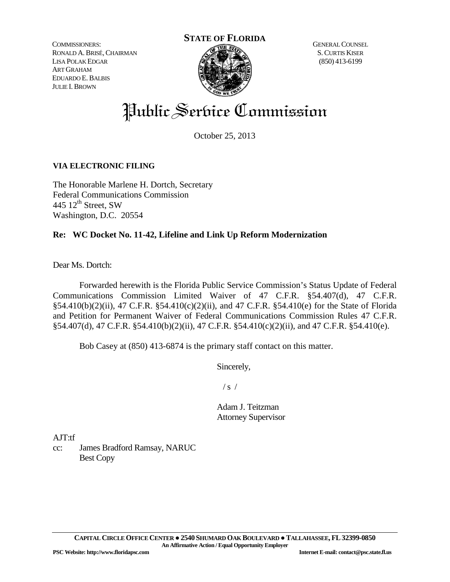COMMISSIONERS: RONALD A.BRISÉ,CHAIRMAN LISA POLAK EDGAR ART GRAHAM EDUARDO E.BALBIS JULIE I. BROWN



GENERAL COUNSEL S.CURTIS KISER (850) 413-6199

# Public Service Commission

October 25, 2013

# **VIA ELECTRONIC FILING**

The Honorable Marlene H. Dortch, Secretary Federal Communications Commission 445  $12^{th}$  Street, SW Washington, D.C. 20554

# **Re: WC Docket No. 11-42, Lifeline and Link Up Reform Modernization**

Dear Ms. Dortch:

Forwarded herewith is the Florida Public Service Commission's Status Update of Federal Communications Commission Limited Waiver of 47 C.F.R. §54.407(d), 47 C.F.R. §54.410(b)(2)(ii), 47 C.F.R. §54.410(c)(2)(ii), and 47 C.F.R. §54.410(e) for the State of Florida and Petition for Permanent Waiver of Federal Communications Commission Rules 47 C.F.R. §54.407(d), 47 C.F.R. §54.410(b)(2)(ii), 47 C.F.R. §54.410(c)(2)(ii), and 47 C.F.R. §54.410(e).

Bob Casey at (850) 413-6874 is the primary staff contact on this matter.

Sincerely,

 $/s /$ 

Adam J. Teitzman Attorney Supervisor

AJT:tf

cc: James Bradford Ramsay, NARUC Best Copy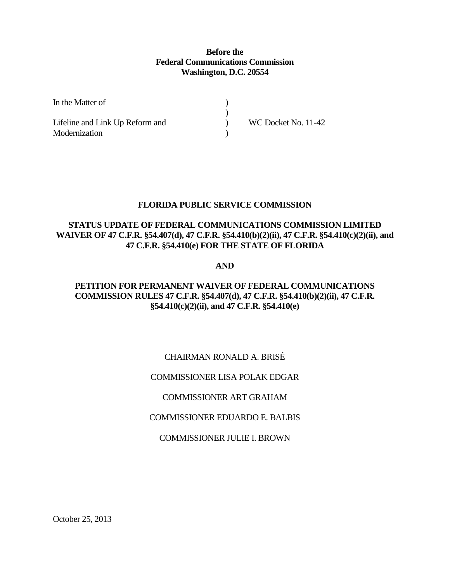## **Before the Federal Communications Commission Washington, D.C. 20554**

| In the Matter of                |                     |
|---------------------------------|---------------------|
|                                 |                     |
| Lifeline and Link Up Reform and | WC Docket No. 11-42 |
| Modernization                   |                     |

## **FLORIDA PUBLIC SERVICE COMMISSION**

## **STATUS UPDATE OF FEDERAL COMMUNICATIONS COMMISSION LIMITED WAIVER OF 47 C.F.R. §54.407(d), 47 C.F.R. §54.410(b)(2)(ii), 47 C.F.R. §54.410(c)(2)(ii), and 47 C.F.R. §54.410(e) FOR THE STATE OF FLORIDA**

#### **AND**

# **PETITION FOR PERMANENT WAIVER OF FEDERAL COMMUNICATIONS COMMISSION RULES 47 C.F.R. §54.407(d), 47 C.F.R. §54.410(b)(2)(ii), 47 C.F.R. §54.410(c)(2)(ii), and 47 C.F.R. §54.410(e)**

# CHAIRMAN RONALD A. BRISÉ

## COMMISSIONER LISA POLAK EDGAR

## COMMISSIONER ART GRAHAM

## COMMISSIONER EDUARDO E. BALBIS

## COMMISSIONER JULIE I. BROWN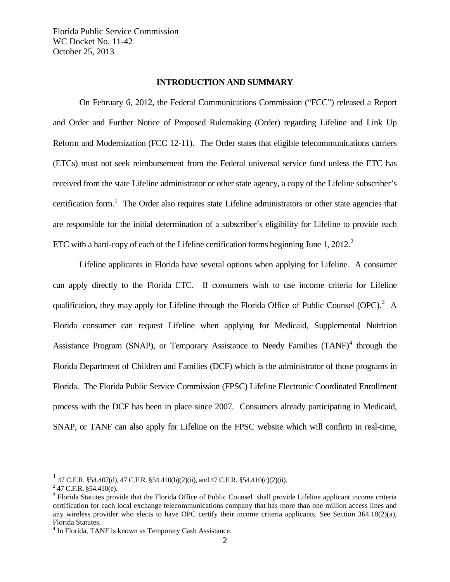#### **INTRODUCTION AND SUMMARY**

On February 6, 2012, the Federal Communications Commission ("FCC") released a Report and Order and Further Notice of Proposed Rulemaking (Order) regarding Lifeline and Link Up Reform and Modernization (FCC 12-11). The Order states that eligible telecommunications carriers (ETCs) must not seek reimbursement from the Federal universal service fund unless the ETC has received from the state Lifeline administrator or other state agency, a copy of the Lifeline subscriber's certification form.<sup>[1](#page-2-0)</sup> The Order also requires state Lifeline administrators or other state agencies that are responsible for the initial determination of a subscriber's eligibility for Lifeline to provide each ETC with a hard-copy of each of the Lifeline certification forms beginning June 1, [2](#page-2-1)012.<sup>2</sup>

Lifeline applicants in Florida have several options when applying for Lifeline. A consumer can apply directly to the Florida ETC. If consumers wish to use income criteria for Lifeline qualification, they may apply for Lifeline through the Florida Office of Public Counsel (OPC).<sup>[3](#page-2-2)</sup> A Florida consumer can request Lifeline when applying for Medicaid, Supplemental Nutrition Assistance Program (SNAP), or Temporary Assistance to Needy Families  $(TANF)^4$  $(TANF)^4$  through the Florida Department of Children and Families (DCF) which is the administrator of those programs in Florida. The Florida Public Service Commission (FPSC) Lifeline Electronic Coordinated Enrollment process with the DCF has been in place since 2007. Consumers already participating in Medicaid, SNAP, or TANF can also apply for Lifeline on the FPSC website which will confirm in real-time,

<span id="page-2-0"></span> $1$  47 C.F.R. §54.407(d), 47 C.F.R. §54.410(b)(2)(ii), and 47 C.F.R. §54.410(c)(2)(ii).

<span id="page-2-1"></span> $2$  47 C.F.R. §54.410(e).

<span id="page-2-2"></span><sup>&</sup>lt;sup>3</sup> Florida Statutes provide that the Florida Office of Public Counsel shall provide Lifeline applicant income criteria certification for each local exchange telecommunications company that has more than one million access lines and any wireless provider who elects to have OPC certify their income criteria applicants. See Section 364.10(2)(a), Florida Statutes.

<span id="page-2-3"></span><sup>&</sup>lt;sup>4</sup> In Florida, TANF is known as Temporary Cash Assistance.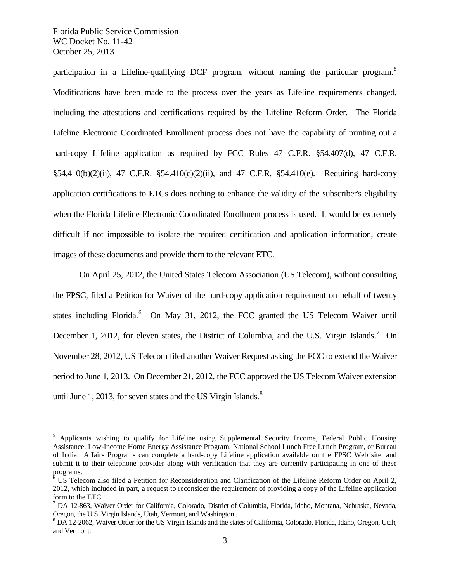participation in a Lifeline-qualifying DCF program, without naming the particular program.<sup>[5](#page-3-0)</sup> Modifications have been made to the process over the years as Lifeline requirements changed, including the attestations and certifications required by the Lifeline Reform Order. The Florida Lifeline Electronic Coordinated Enrollment process does not have the capability of printing out a hard-copy Lifeline application as required by FCC Rules 47 C.F.R. §54.407(d), 47 C.F.R. §54.410(b)(2)(ii), 47 C.F.R. §54.410(c)(2)(ii), and 47 C.F.R. §54.410(e). Requiring hard-copy application certifications to ETCs does nothing to enhance the validity of the subscriber's eligibility when the Florida Lifeline Electronic Coordinated Enrollment process is used. It would be extremely difficult if not impossible to isolate the required certification and application information, create images of these documents and provide them to the relevant ETC.

On April 25, 2012, the United States Telecom Association (US Telecom), without consulting the FPSC, filed a Petition for Waiver of the hard-copy application requirement on behalf of twenty states including Florida.<sup>[6](#page-3-1)</sup> On May 31, 2012, the FCC granted the US Telecom Waiver until December 1, 2012, for eleven states, the District of Columbia, and the U.S. Virgin Islands.<sup>[7](#page-3-2)</sup> On November 28, 2012, US Telecom filed another Waiver Request asking the FCC to extend the Waiver period to June 1, 2013. On December 21, 2012, the FCC approved the US Telecom Waiver extension until June 1, 2013, for seven states and the US Virgin Islands. $8$ 

<span id="page-3-0"></span><sup>&</sup>lt;sup>5</sup> Applicants wishing to qualify for Lifeline using Supplemental Security Income, Federal Public Housing Assistance, Low-Income Home Energy Assistance Program, National School Lunch Free Lunch Program, or Bureau of Indian Affairs Programs can complete a hard-copy Lifeline application available on the FPSC Web site, and submit it to their telephone provider along with verification that they are currently participating in one of these programs.

<span id="page-3-1"></span><sup>6</sup> US Telecom also filed a Petition for Reconsideration and Clarification of the Lifeline Reform Order on April 2, 2012, which included in part, a request to reconsider the requirement of providing a copy of the Lifeline application form to the ETC.

<span id="page-3-2"></span><sup>7</sup> DA 12-863, Waiver Order for California, Colorado, District of Columbia, Florida, Idaho, Montana, Nebraska, Nevada, Oregon, the U.S. Virgin Islands, Utah, Vermont, and Washington .<br><sup>8</sup> DA 12-2062, Waiver Order for the US Virgin Islands and the states of California, Colorado, Florida, Idaho, Oregon, Utah,

<span id="page-3-3"></span>and Vermont.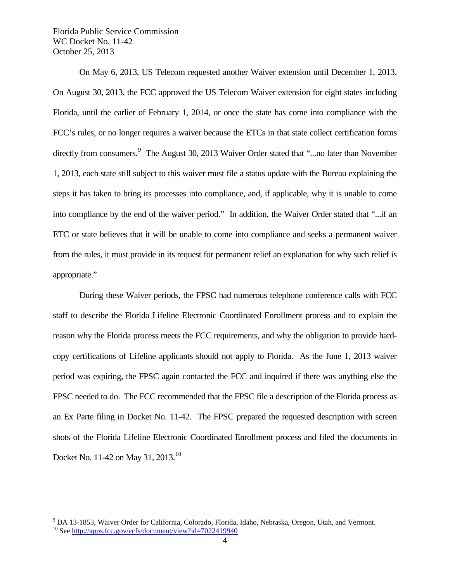On May 6, 2013, US Telecom requested another Waiver extension until December 1, 2013. On August 30, 2013, the FCC approved the US Telecom Waiver extension for eight states including Florida, until the earlier of February 1, 2014, or once the state has come into compliance with the FCC's rules, or no longer requires a waiver because the ETCs in that state collect certification forms directly from consumers.<sup>[9](#page-4-0)</sup> The August 30, 2013 Waiver Order stated that "...no later than November 1, 2013, each state still subject to this waiver must file a status update with the Bureau explaining the steps it has taken to bring its processes into compliance, and, if applicable, why it is unable to come into compliance by the end of the waiver period." In addition, the Waiver Order stated that "...if an ETC or state believes that it will be unable to come into compliance and seeks a permanent waiver from the rules, it must provide in its request for permanent relief an explanation for why such relief is appropriate."

During these Waiver periods, the FPSC had numerous telephone conference calls with FCC staff to describe the Florida Lifeline Electronic Coordinated Enrollment process and to explain the reason why the Florida process meets the FCC requirements, and why the obligation to provide hardcopy certifications of Lifeline applicants should not apply to Florida. As the June 1, 2013 waiver period was expiring, the FPSC again contacted the FCC and inquired if there was anything else the FPSC needed to do. The FCC recommended that the FPSC file a description of the Florida process as an Ex Parte filing in Docket No. 11-42. The FPSC prepared the requested description with screen shots of the Florida Lifeline Electronic Coordinated Enrollment process and filed the documents in Docket No. 11-42 on May 31, 2013.<sup>[10](#page-4-1)</sup>

<span id="page-4-0"></span><sup>&</sup>lt;sup>9</sup> DA 13-1853, Waiver Order for California, Colorado, Florida, Idaho, Nebraska, Oregon, Utah, and Vermont. <sup>10</sup> See<http://apps.fcc.gov/ecfs/document/view?id=7022419940>

<span id="page-4-1"></span>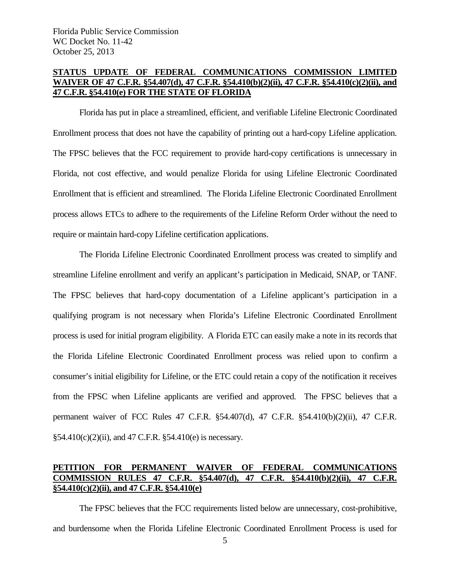## **STATUS UPDATE OF FEDERAL COMMUNICATIONS COMMISSION LIMITED WAIVER OF 47 C.F.R. §54.407(d), 47 C.F.R. §54.410(b)(2)(ii), 47 C.F.R. §54.410(c)(2)(ii), and 47 C.F.R. §54.410(e) FOR THE STATE OF FLORIDA**

Florida has put in place a streamlined, efficient, and verifiable Lifeline Electronic Coordinated Enrollment process that does not have the capability of printing out a hard-copy Lifeline application. The FPSC believes that the FCC requirement to provide hard-copy certifications is unnecessary in Florida, not cost effective, and would penalize Florida for using Lifeline Electronic Coordinated Enrollment that is efficient and streamlined. The Florida Lifeline Electronic Coordinated Enrollment process allows ETCs to adhere to the requirements of the Lifeline Reform Order without the need to require or maintain hard-copy Lifeline certification applications.

The Florida Lifeline Electronic Coordinated Enrollment process was created to simplify and streamline Lifeline enrollment and verify an applicant's participation in Medicaid, SNAP, or TANF. The FPSC believes that hard-copy documentation of a Lifeline applicant's participation in a qualifying program is not necessary when Florida's Lifeline Electronic Coordinated Enrollment process is used for initial program eligibility. A Florida ETC can easily make a note in its records that the Florida Lifeline Electronic Coordinated Enrollment process was relied upon to confirm a consumer's initial eligibility for Lifeline, or the ETC could retain a copy of the notification it receives from the FPSC when Lifeline applicants are verified and approved. The FPSC believes that a permanent waiver of FCC Rules 47 C.F.R. §54.407(d), 47 C.F.R. §54.410(b)(2)(ii), 47 C.F.R.  $§54.410(c)(2)(ii)$ , and 47 C.F.R.  $§54.410(e)$  is necessary.

# **PETITION FOR PERMANENT WAIVER OF FEDERAL COMMUNICATIONS COMMISSION RULES 47 C.F.R. §54.407(d), 47 C.F.R. §54.410(b)(2)(ii), 47 C.F.R. §54.410(c)(2)(ii), and 47 C.F.R. §54.410(e)**

The FPSC believes that the FCC requirements listed below are unnecessary, cost-prohibitive, and burdensome when the Florida Lifeline Electronic Coordinated Enrollment Process is used for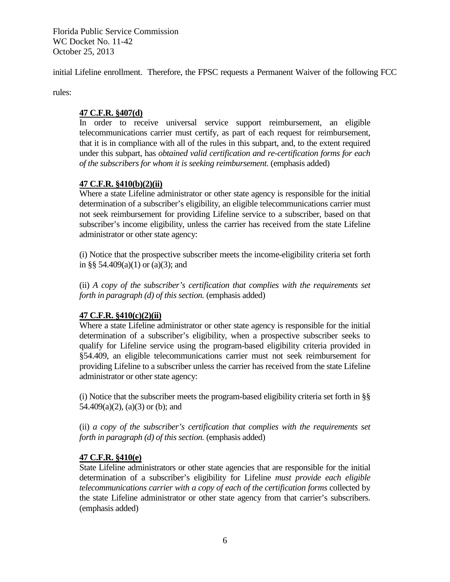initial Lifeline enrollment. Therefore, the FPSC requests a Permanent Waiver of the following FCC

rules:

## **47 C.F.R. §407(d)**

In order to receive universal service support reimbursement, an eligible telecommunications carrier must certify, as part of each request for reimbursement, that it is in compliance with all of the rules in this subpart, and, to the extent required under this subpart, has *obtained valid certification and re-certification forms for each of the subscribers for whom it is seeking reimbursement.* (emphasis added)

## **47 C.F.R. §410(b)(2)(ii)**

Where a state Lifeline administrator or other state agency is responsible for the initial determination of a subscriber's eligibility, an eligible telecommunications carrier must not seek reimbursement for providing Lifeline service to a subscriber, based on that subscriber's income eligibility, unless the carrier has received from the state Lifeline administrator or other state agency:

(i) Notice that the prospective subscriber meets the income-eligibility criteria set forth in §§ 54.409(a)(1) or (a)(3); and

(ii) *A copy of the subscriber's certification that complies with the requirements set forth in paragraph (d) of this section.* (emphasis added)

# **47 C.F.R. §410(c)(2)(ii)**

Where a state Lifeline administrator or other state agency is responsible for the initial determination of a subscriber's eligibility, when a prospective subscriber seeks to qualify for Lifeline service using the program-based eligibility criteria provided in §54.409, an eligible telecommunications carrier must not seek reimbursement for providing Lifeline to a subscriber unless the carrier has received from the state Lifeline administrator or other state agency:

(i) Notice that the subscriber meets the program-based eligibility criteria set forth in §§  $54.409(a)(2)$ ,  $(a)(3)$  or (b); and

(ii) *a copy of the subscriber's certification that complies with the requirements set forth in paragraph (d) of this section.* (emphasis added)

## **47 C.F.R. §410(e)**

State Lifeline administrators or other state agencies that are responsible for the initial determination of a subscriber's eligibility for Lifeline *must provide each eligible telecommunications carrier with a copy of each of the certification forms* collected by the state Lifeline administrator or other state agency from that carrier's subscribers. (emphasis added)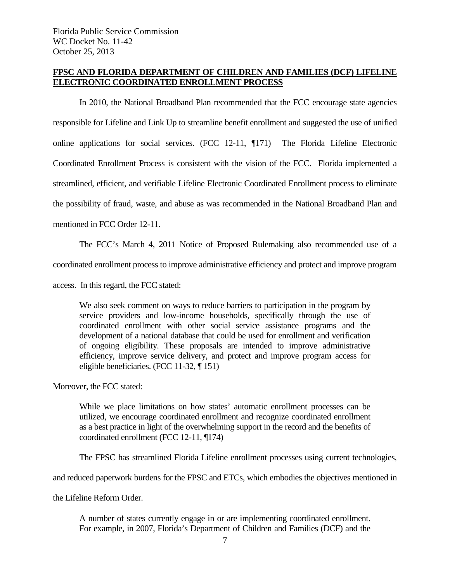## **FPSC AND FLORIDA DEPARTMENT OF CHILDREN AND FAMILIES (DCF) LIFELINE ELECTRONIC COORDINATED ENROLLMENT PROCESS**

In 2010, the National Broadband Plan recommended that the FCC encourage state agencies responsible for Lifeline and Link Up to streamline benefit enrollment and suggested the use of unified online applications for social services. (FCC 12-11, ¶171) The Florida Lifeline Electronic Coordinated Enrollment Process is consistent with the vision of the FCC. Florida implemented a streamlined, efficient, and verifiable Lifeline Electronic Coordinated Enrollment process to eliminate the possibility of fraud, waste, and abuse as was recommended in the National Broadband Plan and mentioned in FCC Order 12-11.

The FCC's March 4, 2011 Notice of Proposed Rulemaking also recommended use of a

coordinated enrollment process to improve administrative efficiency and protect and improve program

access. In this regard, the FCC stated:

We also seek comment on ways to reduce barriers to participation in the program by service providers and low-income households, specifically through the use of coordinated enrollment with other social service assistance programs and the development of a national database that could be used for enrollment and verification of ongoing eligibility. These proposals are intended to improve administrative efficiency, improve service delivery, and protect and improve program access for eligible beneficiaries. (FCC 11-32, ¶ 151)

Moreover, the FCC stated:

While we place limitations on how states' automatic enrollment processes can be utilized, we encourage coordinated enrollment and recognize coordinated enrollment as a best practice in light of the overwhelming support in the record and the benefits of coordinated enrollment (FCC 12-11, ¶174)

The FPSC has streamlined Florida Lifeline enrollment processes using current technologies,

and reduced paperwork burdens for the FPSC and ETCs, which embodies the objectives mentioned in

the Lifeline Reform Order.

A number of states currently engage in or are implementing coordinated enrollment. For example, in 2007, Florida's Department of Children and Families (DCF) and the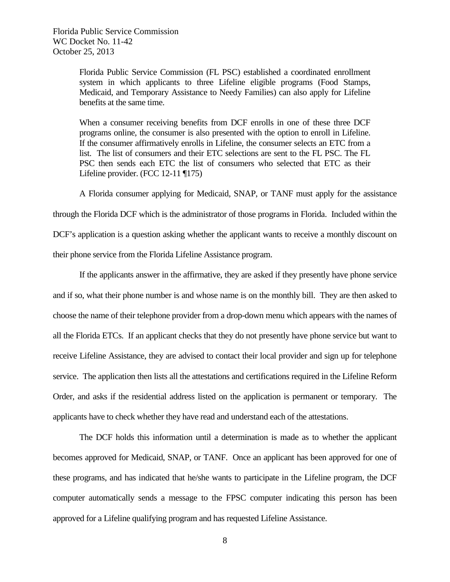> Florida Public Service Commission (FL PSC) established a coordinated enrollment system in which applicants to three Lifeline eligible programs (Food Stamps, Medicaid, and Temporary Assistance to Needy Families) can also apply for Lifeline benefits at the same time.

> When a consumer receiving benefits from DCF enrolls in one of these three DCF programs online, the consumer is also presented with the option to enroll in Lifeline. If the consumer affirmatively enrolls in Lifeline, the consumer selects an ETC from a list. The list of consumers and their ETC selections are sent to the FL PSC. The FL PSC then sends each ETC the list of consumers who selected that ETC as their Lifeline provider. (FCC 12-11 ¶175)

A Florida consumer applying for Medicaid, SNAP, or TANF must apply for the assistance through the Florida DCF which is the administrator of those programs in Florida. Included within the DCF's application is a question asking whether the applicant wants to receive a monthly discount on their phone service from the Florida Lifeline Assistance program.

If the applicants answer in the affirmative, they are asked if they presently have phone service and if so, what their phone number is and whose name is on the monthly bill. They are then asked to choose the name of their telephone provider from a drop-down menu which appears with the names of all the Florida ETCs. If an applicant checks that they do not presently have phone service but want to receive Lifeline Assistance, they are advised to contact their local provider and sign up for telephone service. The application then lists all the attestations and certifications required in the Lifeline Reform Order, and asks if the residential address listed on the application is permanent or temporary. The applicants have to check whether they have read and understand each of the attestations.

The DCF holds this information until a determination is made as to whether the applicant becomes approved for Medicaid, SNAP, or TANF. Once an applicant has been approved for one of these programs, and has indicated that he/she wants to participate in the Lifeline program, the DCF computer automatically sends a message to the FPSC computer indicating this person has been approved for a Lifeline qualifying program and has requested Lifeline Assistance.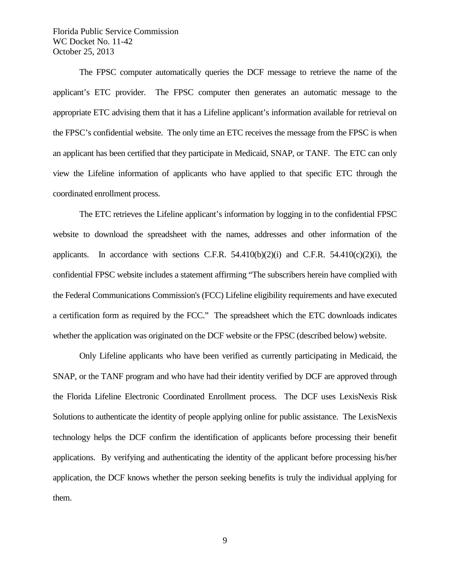The FPSC computer automatically queries the DCF message to retrieve the name of the applicant's ETC provider. The FPSC computer then generates an automatic message to the appropriate ETC advising them that it has a Lifeline applicant's information available for retrieval on the FPSC's confidential website. The only time an ETC receives the message from the FPSC is when an applicant has been certified that they participate in Medicaid, SNAP, or TANF. The ETC can only view the Lifeline information of applicants who have applied to that specific ETC through the coordinated enrollment process.

The ETC retrieves the Lifeline applicant's information by logging in to the confidential FPSC website to download the spreadsheet with the names, addresses and other information of the applicants. In accordance with sections C.F.R.  $54.410(b)(2)(i)$  and C.F.R.  $54.410(c)(2)(i)$ , the confidential FPSC website includes a statement affirming "The subscribers herein have complied with the Federal Communications Commission's (FCC) Lifeline eligibility requirements and have executed a certification form as required by the FCC." The spreadsheet which the ETC downloads indicates whether the application was originated on the DCF website or the FPSC (described below) website.

Only Lifeline applicants who have been verified as currently participating in Medicaid, the SNAP, or the TANF program and who have had their identity verified by DCF are approved through the Florida Lifeline Electronic Coordinated Enrollment process. The DCF uses LexisNexis Risk Solutions to authenticate the identity of people applying online for public assistance. The LexisNexis technology helps the DCF confirm the identification of applicants before processing their benefit applications. By verifying and authenticating the identity of the applicant before processing his/her application, the DCF knows whether the person seeking benefits is truly the individual applying for them.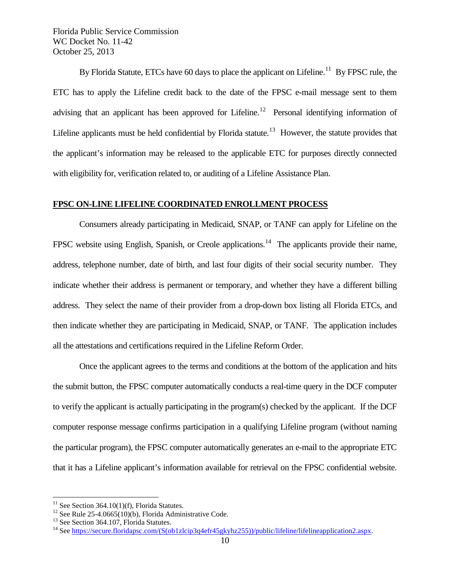By Florida Statute, ETCs have 60 days to place the applicant on Lifeline.<sup>11</sup> By FPSC rule, the ETC has to apply the Lifeline credit back to the date of the FPSC e-mail message sent to them advising that an applicant has been approved for Lifeline.<sup>12</sup> Personal identifying information of Lifeline applicants must be held confidential by Florida statute.<sup>13</sup> However, the statute provides that the applicant's information may be released to the applicable ETC for purposes directly connected with eligibility for, verification related to, or auditing of a Lifeline Assistance Plan.

#### **FPSC ON-LINE LIFELINE COORDINATED ENROLLMENT PROCESS**

Consumers already participating in Medicaid, SNAP, or TANF can apply for Lifeline on the FPSC website using English, Spanish, or Creole applications.<sup>[14](#page-10-3)</sup> The applicants provide their name, address, telephone number, date of birth, and last four digits of their social security number. They indicate whether their address is permanent or temporary, and whether they have a different billing address. They select the name of their provider from a drop-down box listing all Florida ETCs, and then indicate whether they are participating in Medicaid, SNAP, or TANF. The application includes all the attestations and certifications required in the Lifeline Reform Order.

Once the applicant agrees to the terms and conditions at the bottom of the application and hits the submit button, the FPSC computer automatically conducts a real-time query in the DCF computer to verify the applicant is actually participating in the program(s) checked by the applicant. If the DCF computer response message confirms participation in a qualifying Lifeline program (without naming the particular program), the FPSC computer automatically generates an e-mail to the appropriate ETC that it has a Lifeline applicant's information available for retrieval on the FPSC confidential website.

<span id="page-10-1"></span>

<span id="page-10-3"></span><span id="page-10-2"></span>

<span id="page-10-0"></span><sup>&</sup>lt;sup>11</sup> See Section 364.10(1)(f), Florida Statutes.<br><sup>12</sup> See Rule 25-4.0665(10)(b), Florida Administrative Code.<br><sup>13</sup> See Section 364.107, Florida Statutes.<br><sup>14</sup> See https://secure.floridapsc.com/(S(ob1zlcip3q4efr45gkyhz255)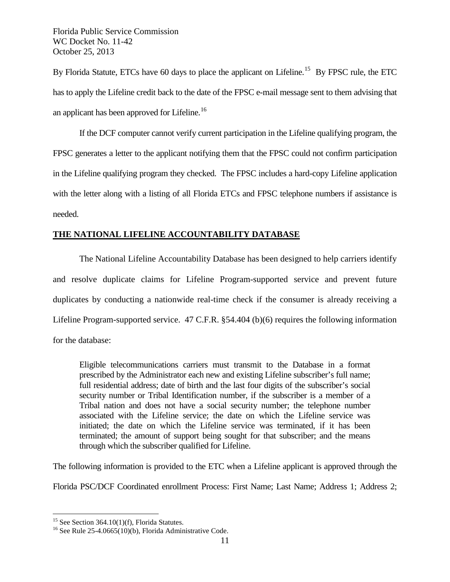By Florida Statute, ETCs have 60 days to place the applicant on Lifeline.<sup>15</sup> By FPSC rule, the ETC has to apply the Lifeline credit back to the date of the FPSC e-mail message sent to them advising that an applicant has been approved for Lifeline.<sup>[16](#page-11-1)</sup>

If the DCF computer cannot verify current participation in the Lifeline qualifying program, the FPSC generates a letter to the applicant notifying them that the FPSC could not confirm participation in the Lifeline qualifying program they checked. The FPSC includes a hard-copy Lifeline application with the letter along with a listing of all Florida ETCs and FPSC telephone numbers if assistance is needed.

# **THE NATIONAL LIFELINE ACCOUNTABILITY DATABASE**

The National Lifeline Accountability Database has been designed to help carriers identify and resolve duplicate claims for Lifeline Program-supported service and prevent future duplicates by conducting a nationwide real-time check if the consumer is already receiving a Lifeline Program-supported service. 47 C.F.R. §54.404 (b)(6) requires the following information for the database:

Eligible telecommunications carriers must transmit to the Database in a format prescribed by the Administrator each new and existing Lifeline subscriber's full name; full residential address; date of birth and the last four digits of the subscriber's social security number or Tribal Identification number, if the subscriber is a member of a Tribal nation and does not have a social security number; the telephone number associated with the Lifeline service; the date on which the Lifeline service was initiated; the date on which the Lifeline service was terminated, if it has been terminated; the amount of support being sought for that subscriber; and the means through which the subscriber qualified for Lifeline.

The following information is provided to the ETC when a Lifeline applicant is approved through the Florida PSC/DCF Coordinated enrollment Process: First Name; Last Name; Address 1; Address 2;

<span id="page-11-1"></span><span id="page-11-0"></span><sup>&</sup>lt;sup>15</sup> See Section 364.10(1)(f), Florida Statutes.<br><sup>16</sup> See Rule 25-4.0665(10)(b), Florida Administrative Code.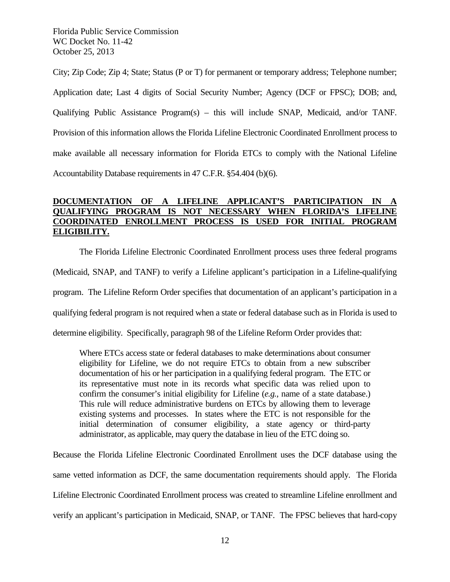City; Zip Code; Zip 4; State; Status (P or T) for permanent or temporary address; Telephone number; Application date; Last 4 digits of Social Security Number; Agency (DCF or FPSC); DOB; and, Qualifying Public Assistance Program(s) – this will include SNAP, Medicaid, and/or TANF. Provision of this information allows the Florida Lifeline Electronic Coordinated Enrollment process to make available all necessary information for Florida ETCs to comply with the National Lifeline Accountability Database requirements in 47 C.F.R. §54.404 (b)(6).

# **DOCUMENTATION OF A LIFELINE APPLICANT'S PARTICIPATION IN A QUALIFYING PROGRAM IS NOT NECESSARY WHEN FLORIDA'S LIFELINE COORDINATED ENROLLMENT PROCESS IS USED FOR INITIAL PROGRAM ELIGIBILITY.**

The Florida Lifeline Electronic Coordinated Enrollment process uses three federal programs (Medicaid, SNAP, and TANF) to verify a Lifeline applicant's participation in a Lifeline-qualifying program. The Lifeline Reform Order specifies that documentation of an applicant's participation in a qualifying federal program is not required when a state or federal database such as in Florida is used to determine eligibility. Specifically, paragraph 98 of the Lifeline Reform Order provides that:

Where ETCs access state or federal databases to make determinations about consumer eligibility for Lifeline, we do not require ETCs to obtain from a new subscriber documentation of his or her participation in a qualifying federal program. The ETC or its representative must note in its records what specific data was relied upon to confirm the consumer's initial eligibility for Lifeline (*e.g.,* name of a state database.) This rule will reduce administrative burdens on ETCs by allowing them to leverage existing systems and processes. In states where the ETC is not responsible for the initial determination of consumer eligibility, a state agency or third-party administrator, as applicable, may query the database in lieu of the ETC doing so.

Because the Florida Lifeline Electronic Coordinated Enrollment uses the DCF database using the same vetted information as DCF, the same documentation requirements should apply. The Florida Lifeline Electronic Coordinated Enrollment process was created to streamline Lifeline enrollment and verify an applicant's participation in Medicaid, SNAP, or TANF. The FPSC believes that hard-copy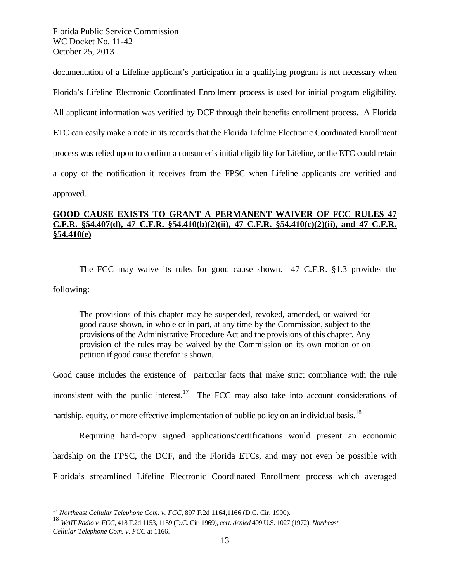documentation of a Lifeline applicant's participation in a qualifying program is not necessary when Florida's Lifeline Electronic Coordinated Enrollment process is used for initial program eligibility. All applicant information was verified by DCF through their benefits enrollment process. A Florida ETC can easily make a note in its records that the Florida Lifeline Electronic Coordinated Enrollment process was relied upon to confirm a consumer's initial eligibility for Lifeline, or the ETC could retain a copy of the notification it receives from the FPSC when Lifeline applicants are verified and approved.

# **GOOD CAUSE EXISTS TO GRANT A PERMANENT WAIVER OF FCC RULES 47 C.F.R. §54.407(d), 47 C.F.R. §54.410(b)(2)(ii), 47 C.F.R. §54.410(c)(2)(ii), and 47 C.F.R. §54.410(e)**

The FCC may waive its rules for good cause shown. 47 C.F.R. §1.3 provides the following:

The provisions of this chapter may be suspended, revoked, amended, or waived for good cause shown, in whole or in part, at any time by the Commission, subject to the provisions of the Administrative Procedure Act and the provisions of this chapter. Any provision of the rules may be waived by the Commission on its own motion or on petition if good cause therefor is shown.

Good cause includes the existence of particular facts that make strict compliance with the rule inconsistent with the public interest.<sup>17</sup> The FCC may also take into account considerations of hardship, equity, or more effective implementation of public policy on an individual basis.<sup>[18](#page-13-1)</sup>

Requiring hard-copy signed applications/certifications would present an economic hardship on the FPSC, the DCF, and the Florida ETCs, and may not even be possible with Florida's streamlined Lifeline Electronic Coordinated Enrollment process which averaged

<span id="page-13-0"></span> <sup>17</sup> *Northeast Cellular Telephone Com. v. FCC,* 897 F.2d 1164,1166 (D.C. Cir. 1990).

<span id="page-13-1"></span><sup>18</sup> *WAIT Radio v. FCC,* 418 F.2d 1153, 1159 (D.C. Cir. 1969), *cert. denied* 409 U.S. 1027 (1972); *Northeast Cellular Telephone Com. v. FCC* at 1166.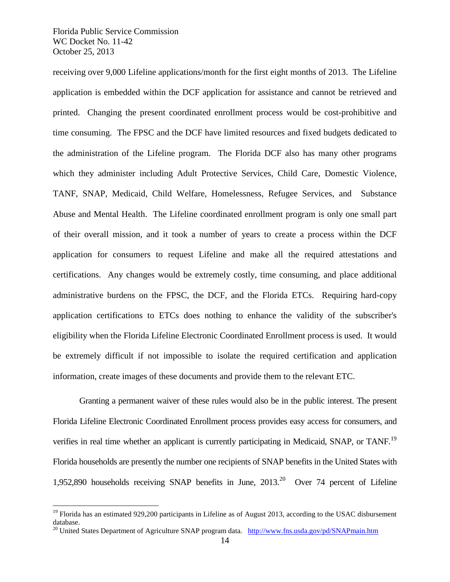receiving over 9,000 Lifeline applications/month for the first eight months of 2013. The Lifeline application is embedded within the DCF application for assistance and cannot be retrieved and printed. Changing the present coordinated enrollment process would be cost-prohibitive and time consuming. The FPSC and the DCF have limited resources and fixed budgets dedicated to the administration of the Lifeline program. The Florida DCF also has many other programs which they administer including Adult Protective Services, Child Care, Domestic Violence, TANF, SNAP, Medicaid, Child Welfare, Homelessness, Refugee Services, and Substance Abuse and Mental Health. The Lifeline coordinated enrollment program is only one small part of their overall mission, and it took a number of years to create a process within the DCF application for consumers to request Lifeline and make all the required attestations and certifications. Any changes would be extremely costly, time consuming, and place additional administrative burdens on the FPSC, the DCF, and the Florida ETCs. Requiring hard-copy application certifications to ETCs does nothing to enhance the validity of the subscriber's eligibility when the Florida Lifeline Electronic Coordinated Enrollment process is used. It would be extremely difficult if not impossible to isolate the required certification and application information, create images of these documents and provide them to the relevant ETC.

Granting a permanent waiver of these rules would also be in the public interest. The present Florida Lifeline Electronic Coordinated Enrollment process provides easy access for consumers, and verifies in real time whether an applicant is currently participating in Medicaid, SNAP, or TANF.<sup>[19](#page-14-0)</sup> Florida households are presently the number one recipients of SNAP benefits in the United States with 1,952,890 households receiving SNAP benefits in June,  $2013$ <sup>20</sup> Over 74 percent of Lifeline

<span id="page-14-0"></span> $19$  Florida has an estimated 929,200 participants in Lifeline as of August 2013, according to the USAC disbursement database.

<span id="page-14-1"></span><sup>&</sup>lt;sup>20</sup> United States Department of Agriculture SNAP program data. <http://www.fns.usda.gov/pd/SNAPmain.htm>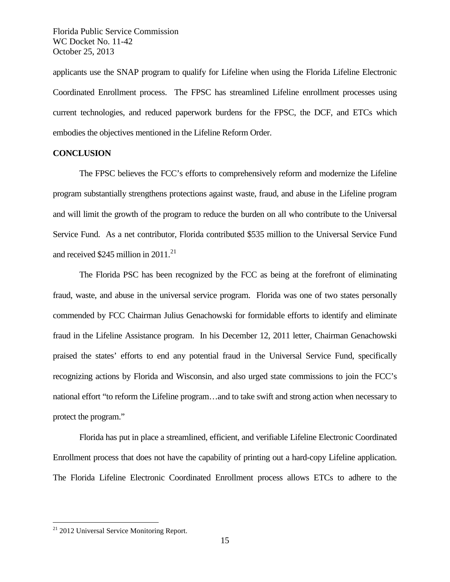applicants use the SNAP program to qualify for Lifeline when using the Florida Lifeline Electronic Coordinated Enrollment process. The FPSC has streamlined Lifeline enrollment processes using current technologies, and reduced paperwork burdens for the FPSC, the DCF, and ETCs which embodies the objectives mentioned in the Lifeline Reform Order.

## **CONCLUSION**

The FPSC believes the FCC's efforts to comprehensively reform and modernize the Lifeline program substantially strengthens protections against waste, fraud, and abuse in the Lifeline program and will limit the growth of the program to reduce the burden on all who contribute to the Universal Service Fund. As a net contributor, Florida contributed \$535 million to the Universal Service Fund and received \$245 million in  $2011$ <sup>[21](#page-15-0)</sup>

The Florida PSC has been recognized by the FCC as being at the forefront of eliminating fraud, waste, and abuse in the universal service program. Florida was one of two states personally commended by FCC Chairman Julius Genachowski for formidable efforts to identify and eliminate fraud in the Lifeline Assistance program. In his December 12, 2011 letter, Chairman Genachowski praised the states' efforts to end any potential fraud in the Universal Service Fund, specifically recognizing actions by Florida and Wisconsin, and also urged state commissions to join the FCC's national effort "to reform the Lifeline program…and to take swift and strong action when necessary to protect the program."

Florida has put in place a streamlined, efficient, and verifiable Lifeline Electronic Coordinated Enrollment process that does not have the capability of printing out a hard-copy Lifeline application. The Florida Lifeline Electronic Coordinated Enrollment process allows ETCs to adhere to the

<span id="page-15-0"></span><sup>&</sup>lt;sup>21</sup> 2012 Universal Service Monitoring Report.